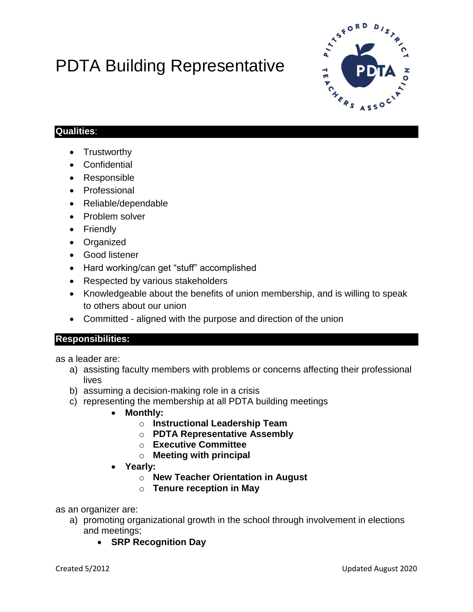# PDTA Building Representative



## **Qualities**:

- Trustworthy
- Confidential
- Responsible
- Professional
- Reliable/dependable
- Problem solver
- Friendly
- Organized
- Good listener
- Hard working/can get "stuff" accomplished
- Respected by various stakeholders
- Knowledgeable about the benefits of union membership, and is willing to speak to others about our union
- Committed aligned with the purpose and direction of the union

### **Responsibilities:**

as a leader are:

- a) assisting faculty members with problems or concerns affecting their professional lives
- b) assuming a decision-making role in a crisis
- c) representing the membership at all PDTA building meetings
	- **Monthly:**
		- o **Instructional Leadership Team**
		- o **PDTA Representative Assembly**
		- o **Executive Committee**
		- o **Meeting with principal**
	- **Yearly:**
		- o **New Teacher Orientation in August**
		- o **Tenure reception in May**

as an organizer are:

- a) promoting organizational growth in the school through involvement in elections and meetings;
	- **SRP Recognition Day**